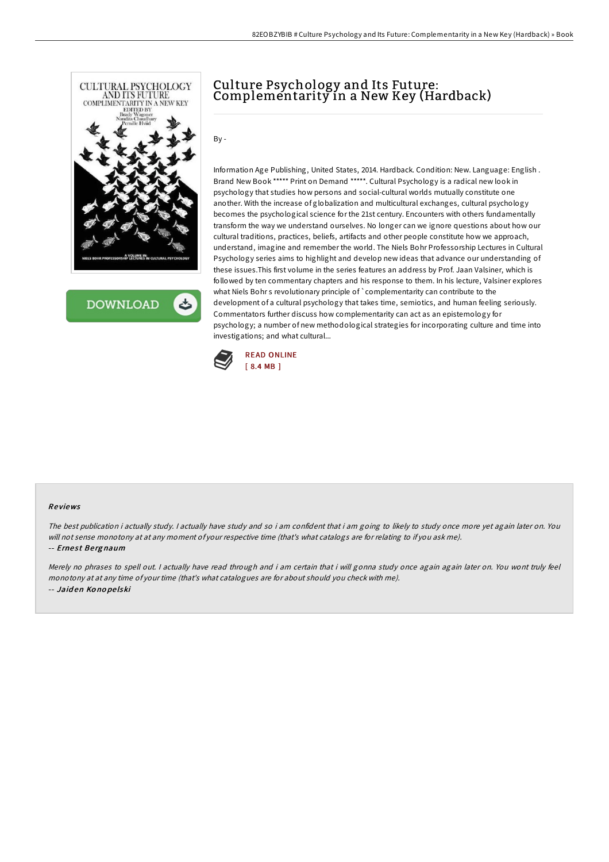

**DOWNLOAD** 

# Culture Psychology and Its Future: Complementarity in a New Key (Hardback)

By -

Information Age Publishing, United States, 2014. Hardback. Condition: New. Language: English . Brand New Book \*\*\*\*\* Print on Demand \*\*\*\*\*. Cultural Psychology is a radical new look in psychology that studies how persons and social-cultural worlds mutually constitute one another. With the increase of globalization and multicultural exchanges, cultural psychology becomes the psychological science for the 21st century. Encounters with others fundamentally transform the way we understand ourselves. No longer can we ignore questions about how our cultural traditions, practices, beliefs, artifacts and other people constitute how we approach, understand, imagine and remember the world. The Niels Bohr Professorship Lectures in Cultural Psychology series aims to highlight and develop new ideas that advance our understanding of these issues.This first volume in the series features an address by Prof. Jaan Valsiner, which is followed by ten commentary chapters and his response to them. In his lecture, Valsiner explores what Niels Bohr s revolutionary principle of `complementarity can contribute to the development of a cultural psychology that takes time, semiotics, and human feeling seriously. Commentators further discuss how complementarity can act as an epistemology for psychology; a number of new methodological strategies for incorporating culture and time into investigations; and what cultural...



#### Re views

The best publication i actually study. <sup>I</sup> actually have study and so i am confident that i am going to likely to study once more yet again later on. You will not sense monotony at at any moment of your respective time (that's what catalogs are for relating to if you ask me).

#### -- Ernest Bergnaum

Merely no phrases to spell out. <sup>I</sup> actually have read through and i am certain that i will gonna study once again again later on. You wont truly feel monotony at at any time of your time (that's what catalogues are for about should you check with me). -- Jaid en Ko no pe lski